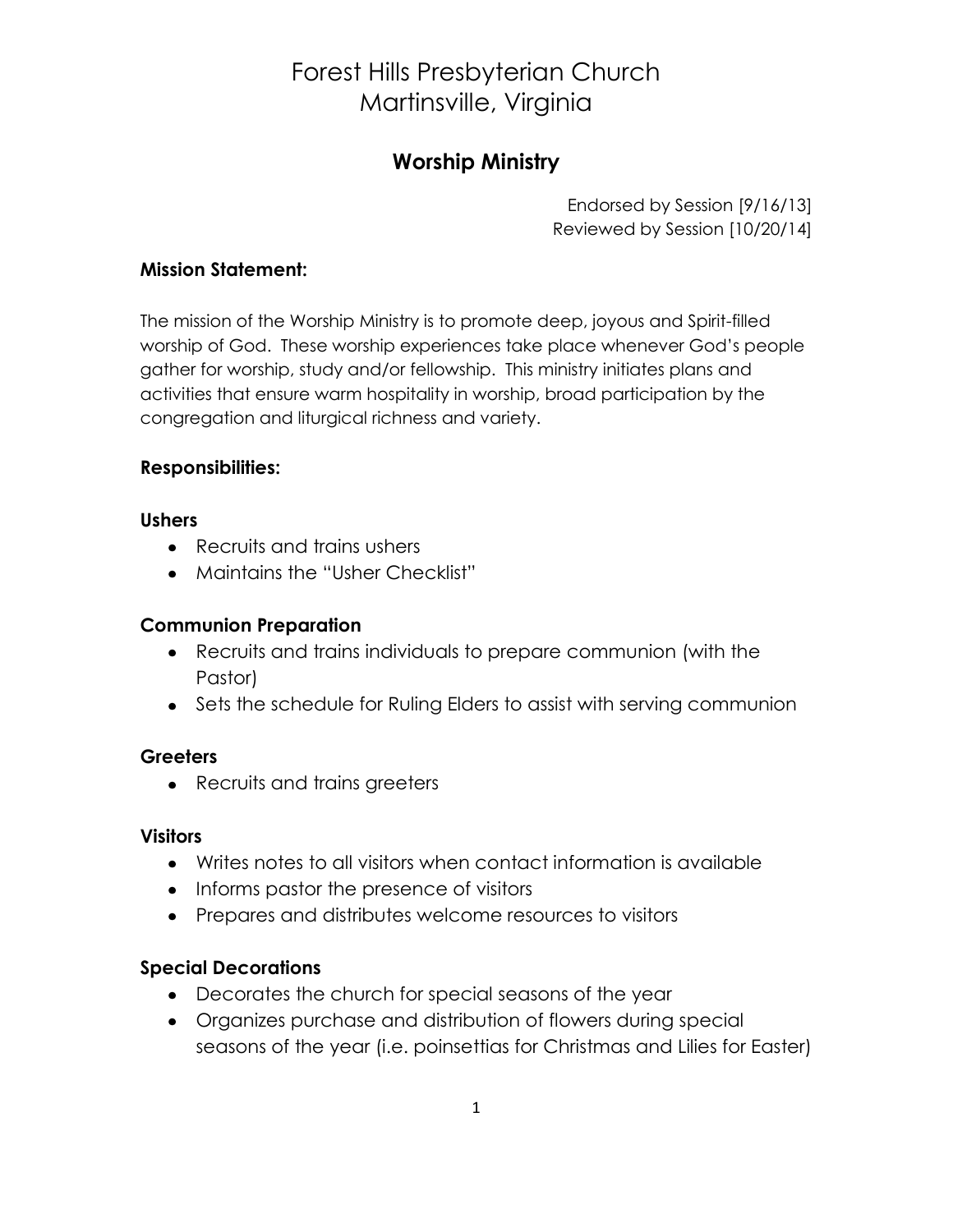# Forest Hills Presbyterian Church Martinsville, Virginia

# **Worship Ministry**

Endorsed by Session [9/16/13] Reviewed by Session [10/20/14]

#### **Mission Statement:**

The mission of the Worship Ministry is to promote deep, joyous and Spirit-filled worship of God. These worship experiences take place whenever God's people gather for worship, study and/or fellowship. This ministry initiates plans and activities that ensure warm hospitality in worship, broad participation by the congregation and liturgical richness and variety.

#### **Responsibilities:**

#### **Ushers**

- Recruits and trains ushers
- Maintains the "Usher Checklist"

### **Communion Preparation**

- Recruits and trains individuals to prepare communion (with the Pastor)
- Sets the schedule for Ruling Elders to assist with serving communion

# **Greeters**

• Recruits and trains greeters

#### **Visitors**

- Writes notes to all visitors when contact information is available
- Informs pastor the presence of visitors
- Prepares and distributes welcome resources to visitors

# **Special Decorations**

- Decorates the church for special seasons of the year
- Organizes purchase and distribution of flowers during special seasons of the year (i.e. poinsettias for Christmas and Lilies for Easter)